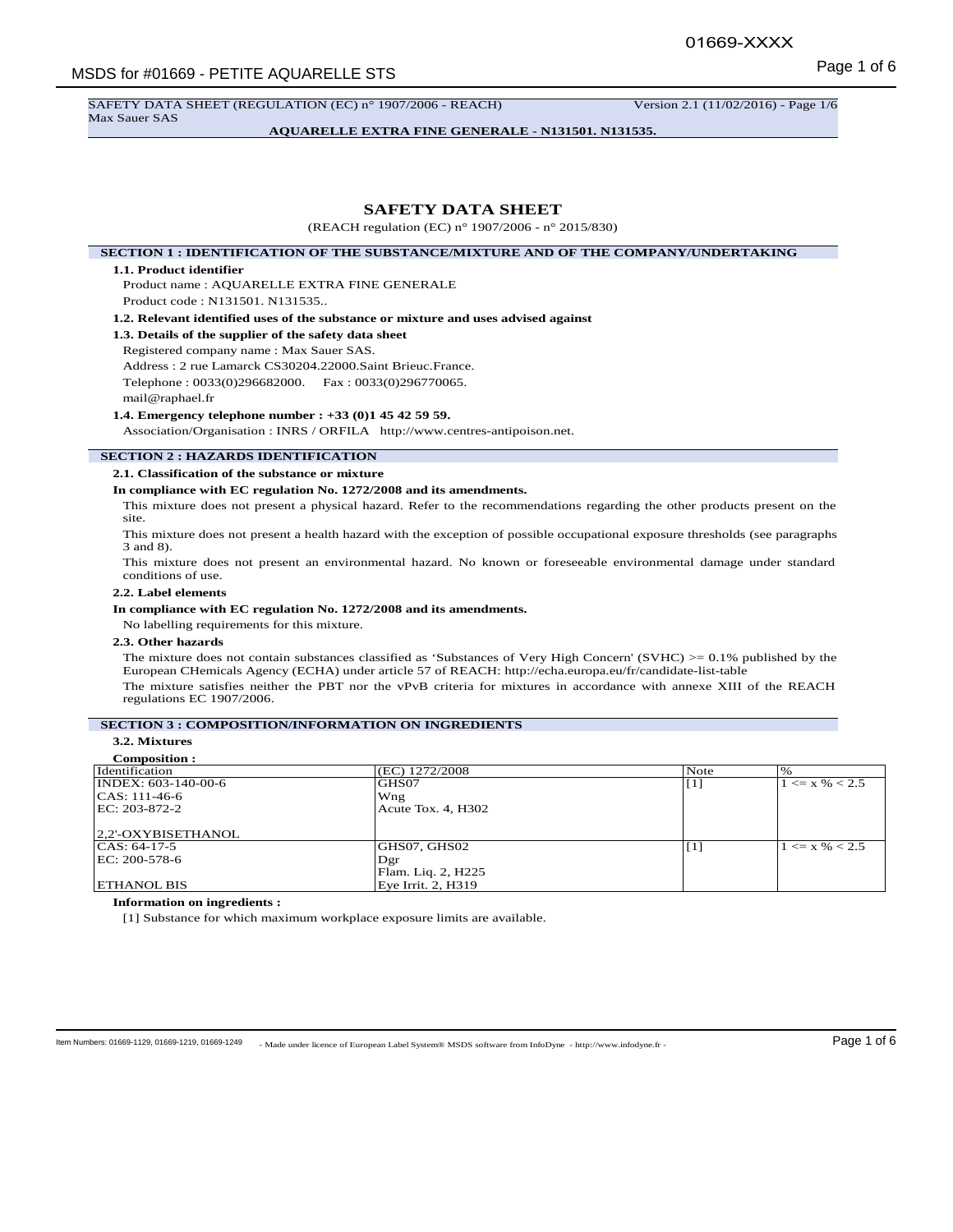SAFETY DATA SHEET (REGULATION (EC) n° 1907/2006 - REACH) Version 2.1 (11/02/2016) - Page 1/6

Max Sauer SAS

**AQUARELLE EXTRA FINE GENERALE - N131501. N131535.**

# **SAFETY DATA SHEET**

(REACH regulation (EC) n° 1907/2006 - n° 2015/830)

**SECTION 1 : IDENTIFICATION OF THE SUBSTANCE/MIXTURE AND OF THE COMPANY/UNDERTAKING**

### **1.1. Product identifier**

Product name : AQUARELLE EXTRA FINE GENERALE Product code : N131501. N131535..

**1.2. Relevant identified uses of the substance or mixture and uses advised against**

**1.3. Details of the supplier of the safety data sheet**

Registered company name : Max Sauer SAS. Address : 2 rue Lamarck CS30204.22000.Saint Brieuc.France. Telephone : 0033(0)296682000. Fax : 0033(0)296770065.

mail@raphael.fr

### **1.4. Emergency telephone number : +33 (0)1 45 42 59 59.**

Association/Organisation : INRS / ORFILA http://www.centres-antipoison.net.

## **SECTION 2 : HAZARDS IDENTIFICATION**

**2.1. Classification of the substance or mixture**

### **In compliance with EC regulation No. 1272/2008 and its amendments.**

This mixture does not present a physical hazard. Refer to the recommendations regarding the other products present on the site.

This mixture does not present a health hazard with the exception of possible occupational exposure thresholds (see paragraphs 3 and 8).

This mixture does not present an environmental hazard. No known or foreseeable environmental damage under standard conditions of use.

# **2.2. Label elements**

### **In compliance with EC regulation No. 1272/2008 and its amendments.**

No labelling requirements for this mixture.

# **2.3. Other hazards**

The mixture does not contain substances classified as 'Substances of Very High Concern' (SVHC)  $> = 0.1\%$  published by the European CHemicals Agency (ECHA) under article 57 of REACH: http://echa.europa.eu/fr/candidate-list-table The mixture satisfies neither the PBT nor the vPvB criteria for mixtures in accordance with annexe XIII of the REACH regulations EC 1907/2006.

# **SECTION 3 : COMPOSITION/INFORMATION ON INGREDIENTS**

# **3.2. Mixtures**

| <b>Composition:</b>              |                    |                   |                    |
|----------------------------------|--------------------|-------------------|--------------------|
| Identification                   | (EC) 1272/2008     | Note              | $\%$               |
| $\overline{NDEX}$ : 603-140-00-6 | GHS07              | $\lceil 1 \rceil$ | $1 \le x \% < 2.5$ |
| $ CAS: 111-46-6$                 | Wng                |                   |                    |
| EC: 203-872-2                    | Acute Tox. 4, H302 |                   |                    |
|                                  |                    |                   |                    |
| 2,2'-OXYBISETHANOL               |                    |                   |                    |
| $ CAS: 64-17-5$                  | GHS07, GHS02       | $\lceil 1 \rceil$ | $1 \le x \% < 2.5$ |
| EC: 200-578-6                    | Dgr                |                   |                    |
|                                  | Flam. Liq. 2, H225 |                   |                    |
| <b>ETHANOL BIS</b>               | Eye Irrit. 2, H319 |                   |                    |

### **Information on ingredients :**

[1] Substance for which maximum workplace exposure limits are available.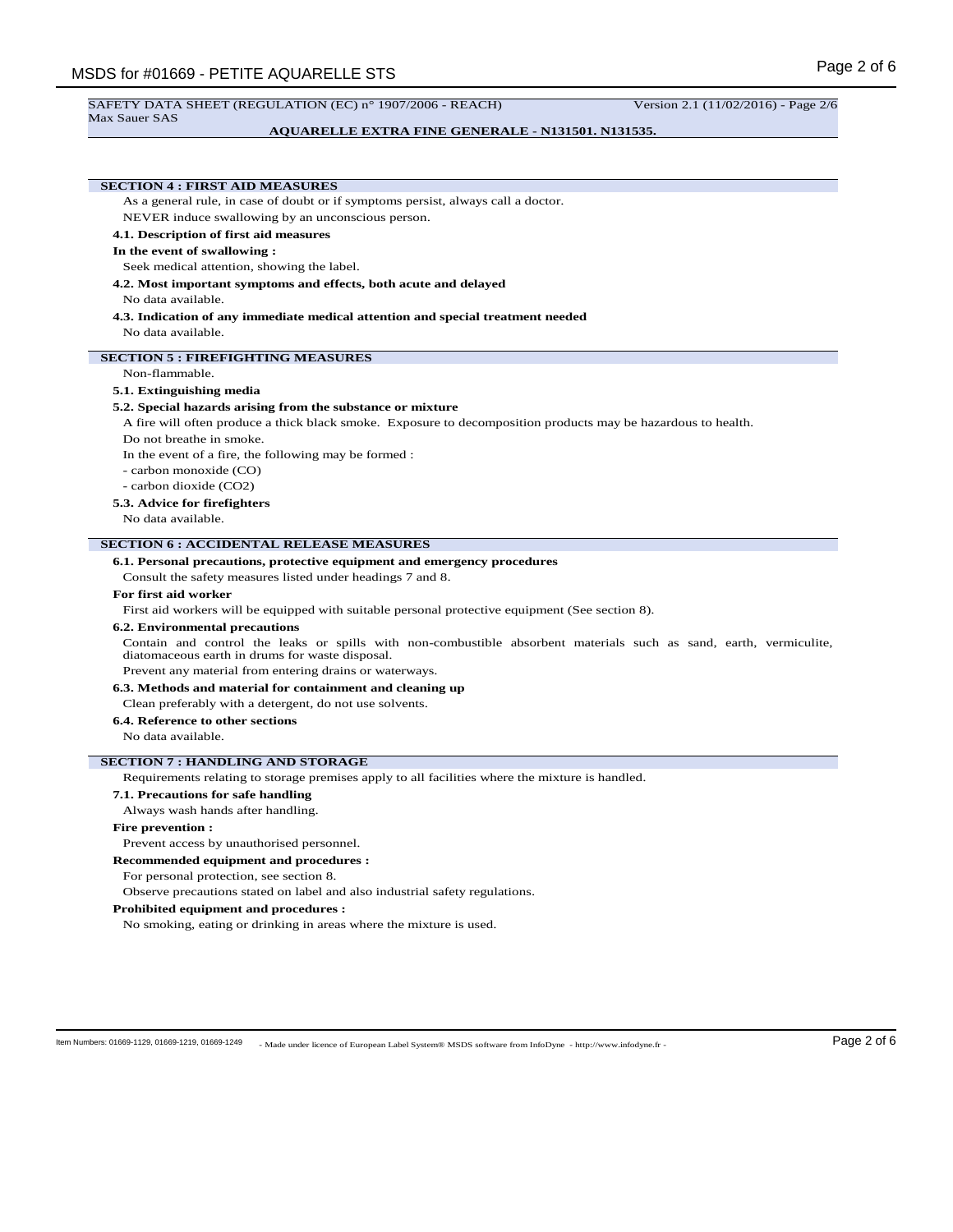## **AQUARELLE EXTRA FINE GENERALE - N131501. N131535.**

# **SECTION 4 : FIRST AID MEASURES**

As a general rule, in case of doubt or if symptoms persist, always call a doctor.

NEVER induce swallowing by an unconscious person.

# **4.1. Description of first aid measures**

## **In the event of swallowing :**

Seek medical attention, showing the label.

**4.2. Most important symptoms and effects, both acute and delayed**

# No data available.

**4.3. Indication of any immediate medical attention and special treatment needed** No data available.

# **SECTION 5 : FIREFIGHTING MEASURES**

### Non-flammable.

### **5.1. Extinguishing media**

### **5.2. Special hazards arising from the substance or mixture**

A fire will often produce a thick black smoke. Exposure to decomposition products may be hazardous to health.

Do not breathe in smoke.

In the event of a fire, the following may be formed :

- carbon monoxide (CO)
- carbon dioxide (CO2)

### **5.3. Advice for firefighters**

No data available.

### **SECTION 6 : ACCIDENTAL RELEASE MEASURES**

**6.1. Personal precautions, protective equipment and emergency procedures**

Consult the safety measures listed under headings 7 and 8.

### **For first aid worker**

First aid workers will be equipped with suitable personal protective equipment (See section 8).

### **6.2. Environmental precautions**

Contain and control the leaks or spills with non-combustible absorbent materials such as sand, earth, vermiculite, diatomaceous earth in drums for waste disposal.

Prevent any material from entering drains or waterways.

**6.3. Methods and material for containment and cleaning up**

Clean preferably with a detergent, do not use solvents.

# **6.4. Reference to other sections**

No data available.

## **SECTION 7 : HANDLING AND STORAGE**

Requirements relating to storage premises apply to all facilities where the mixture is handled.

# **7.1. Precautions for safe handling**

Always wash hands after handling.

### **Fire prevention :**

Prevent access by unauthorised personnel.

### **Recommended equipment and procedures :**

For personal protection, see section 8.

Observe precautions stated on label and also industrial safety regulations.

## **Prohibited equipment and procedures :**

No smoking, eating or drinking in areas where the mixture is used.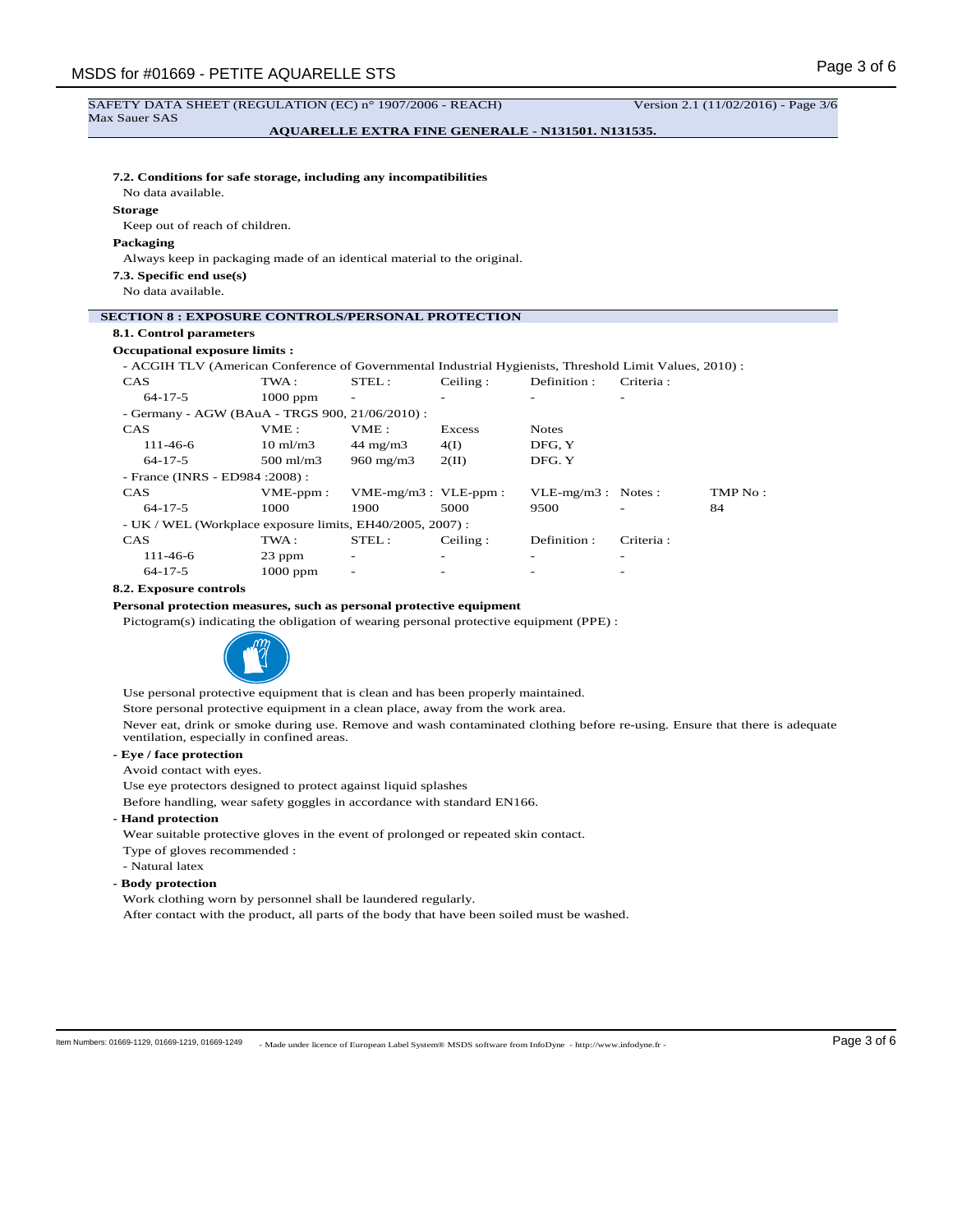### SAFETY DATA SHEET (REGULATION (EC) n° 1907/2006 - REACH) Version 2.1 (11/02/2016) - Page 3/6 Max Sauer SAS **AQUARELLE EXTRA FINE GENERALE - N131501. N131535.**

# **7.2. Conditions for safe storage, including any incompatibilities**

No data available.

**Storage**

Keep out of reach of children.

# **Packaging**

Always keep in packaging made of an identical material to the original.

**7.3. Specific end use(s)**

No data available.

# **SECTION 8 : EXPOSURE CONTROLS/PERSONAL PROTECTION**

# **8.1. Control parameters**

# **Occupational exposure limits :**

- ACGIH TLV (American Conference of Governmental Industrial Hygienists, Threshold Limit Values, 2010) :

| <b>CAS</b>                                                | TWA:                 | STEL:                 | Ceiling: | Definition:          | Criteria: |         |
|-----------------------------------------------------------|----------------------|-----------------------|----------|----------------------|-----------|---------|
| $64 - 17 - 5$                                             | $1000$ ppm           | ۰                     |          |                      |           |         |
| - Germany - AGW (BAuA - TRGS 900, 21/06/2010) :           |                      |                       |          |                      |           |         |
| <b>CAS</b>                                                | VME:                 | VME:                  | Excess   | <b>Notes</b>         |           |         |
| $111 - 46 - 6$                                            | $10 \text{ ml/m}$ 3  | $44 \text{ mg/m}$     | 4(I)     | DFG. Y               |           |         |
| $64 - 17 - 5$                                             | $500 \text{ ml/m}$ 3 | $960 \text{ mg/m}$    | 2(II)    | DFG. Y               |           |         |
| - France (INRS - ED984 : 2008) :                          |                      |                       |          |                      |           |         |
| <b>CAS</b>                                                | $VME-ppm$ :          | $VME-mg/m3: VLE-ppm:$ |          | $VLE-mg/m3$ : Notes: |           | TMP No: |
| $64 - 17 - 5$                                             | 1000                 | 1900                  | 5000     | 9500                 |           | 84      |
| - UK / WEL (Workplace exposure limits, EH40/2005, 2007) : |                      |                       |          |                      |           |         |
| <b>CAS</b>                                                | TWA:                 | STEL:                 | Ceiling: | Definition:          | Criteria: |         |
| $111 - 46 - 6$                                            | 23 ppm               |                       |          |                      |           |         |
| $64 - 17 - 5$                                             | $1000$ ppm           | ۰                     |          |                      |           |         |

### **8.2. Exposure controls**

**Personal protection measures, such as personal protective equipment**

Pictogram(s) indicating the obligation of wearing personal protective equipment (PPE) :



Use personal protective equipment that is clean and has been properly maintained.

Store personal protective equipment in a clean place, away from the work area.

Never eat, drink or smoke during use. Remove and wash contaminated clothing before re-using. Ensure that there is adequate ventilation, especially in confined areas.

# **- Eye / face protection**

Avoid contact with eyes.

Use eye protectors designed to protect against liquid splashes

Before handling, wear safety goggles in accordance with standard EN166.

# **- Hand protection**

Wear suitable protective gloves in the event of prolonged or repeated skin contact.

- Type of gloves recommended :
- Natural latex
- **Body protection**

Work clothing worn by personnel shall be laundered regularly.

After contact with the product, all parts of the body that have been soiled must be washed.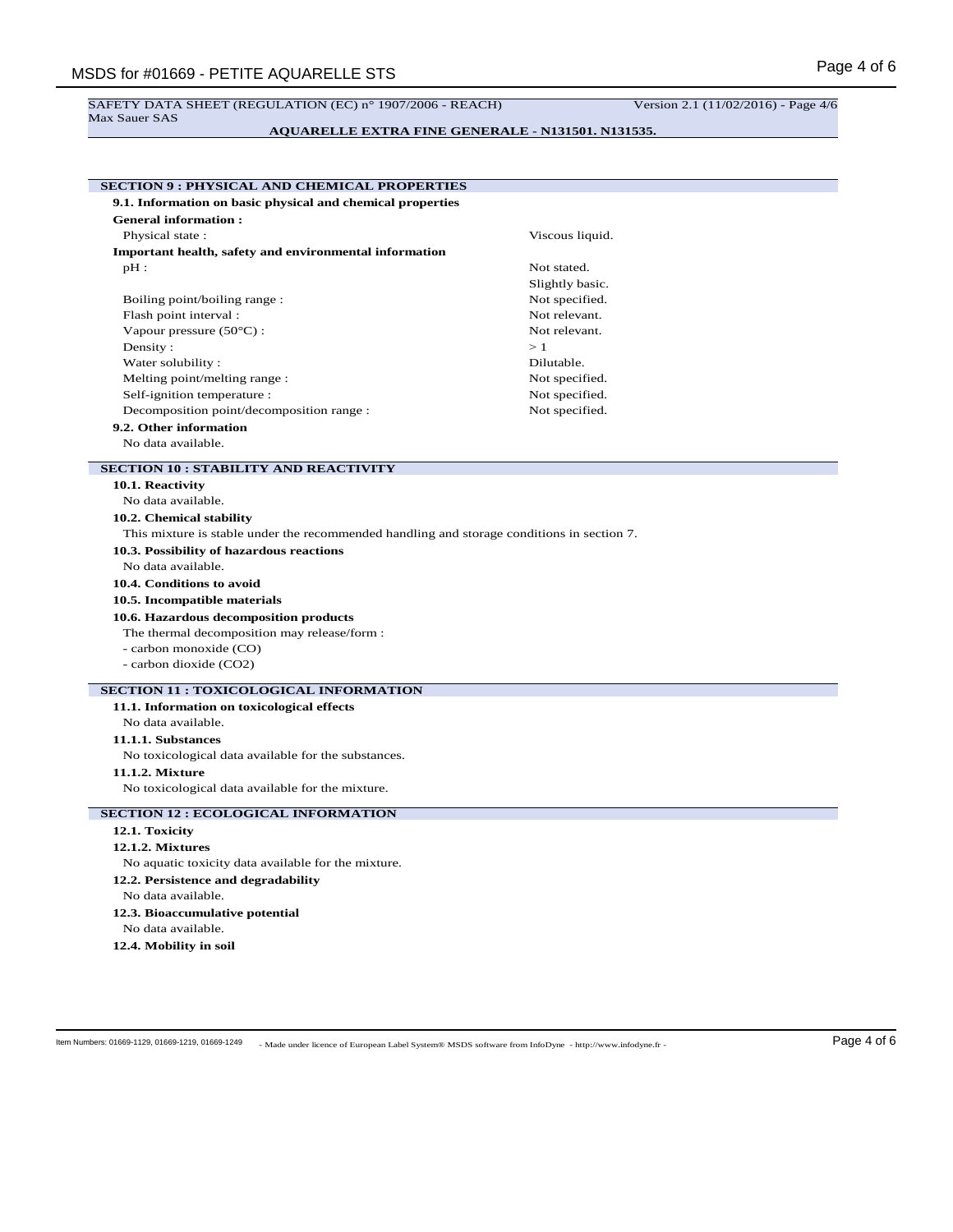### SAFETY DATA SHEET (REGULATION (EC) n° 1907/2006 - REACH) Version 2.1 (11/02/2016) - Page 4/6 Max Sauer SAS

| <b>AQUARELLE EXTRA FINE GENERALE - N131501. N131535.</b> |  |
|----------------------------------------------------------|--|
|                                                          |  |

| 9.1. Information on basic physical and chemical properties                                        |                 |  |
|---------------------------------------------------------------------------------------------------|-----------------|--|
| <b>General information:</b>                                                                       |                 |  |
| Physical state:                                                                                   | Viscous liquid. |  |
| Important health, safety and environmental information                                            |                 |  |
| $pH$ :                                                                                            | Not stated.     |  |
|                                                                                                   | Slightly basic. |  |
| Boiling point/boiling range:                                                                      | Not specified.  |  |
| Flash point interval:                                                                             | Not relevant.   |  |
| Vapour pressure $(50^{\circ}$ C) :                                                                | Not relevant.   |  |
| Density:                                                                                          | >1              |  |
| Water solubility:                                                                                 | Dilutable.      |  |
| Melting point/melting range:                                                                      | Not specified.  |  |
| Self-ignition temperature :                                                                       | Not specified.  |  |
| Decomposition point/decomposition range :                                                         | Not specified.  |  |
| 9.2. Other information                                                                            |                 |  |
| No data available.                                                                                |                 |  |
| <b>SECTION 10 : STABILITY AND REACTIVITY</b>                                                      |                 |  |
| 10.1. Reactivity                                                                                  |                 |  |
| No data available.                                                                                |                 |  |
| 10.2. Chemical stability                                                                          |                 |  |
| This mixture is stable under the recommended handling and storage conditions in section 7.        |                 |  |
|                                                                                                   |                 |  |
| 10.3. Possibility of hazardous reactions                                                          |                 |  |
| No data available.                                                                                |                 |  |
| 10.4. Conditions to avoid                                                                         |                 |  |
|                                                                                                   |                 |  |
| 10.5. Incompatible materials                                                                      |                 |  |
| 10.6. Hazardous decomposition products                                                            |                 |  |
| The thermal decomposition may release/form :                                                      |                 |  |
| - carbon monoxide (CO)<br>- carbon dioxide (CO2)                                                  |                 |  |
|                                                                                                   |                 |  |
| 11.1. Information on toxicological effects                                                        |                 |  |
| No data available.                                                                                |                 |  |
| 11.1.1. Substances                                                                                |                 |  |
| No toxicological data available for the substances.                                               |                 |  |
| 11.1.2. Mixture                                                                                   |                 |  |
| <b>SECTION 11 : TOXICOLOGICAL INFORMATION</b><br>No toxicological data available for the mixture. |                 |  |
|                                                                                                   |                 |  |
| 12.1. Toxicity                                                                                    |                 |  |
| <b>12.1.2. Mixtures</b>                                                                           |                 |  |
| No aquatic toxicity data available for the mixture.                                               |                 |  |
| 12.2. Persistence and degradability                                                               |                 |  |
| No data available.                                                                                |                 |  |
| 12.3. Bioaccumulative potential                                                                   |                 |  |
| <b>SECTION 12 : ECOLOGICAL INFORMATION</b><br>No data available.                                  |                 |  |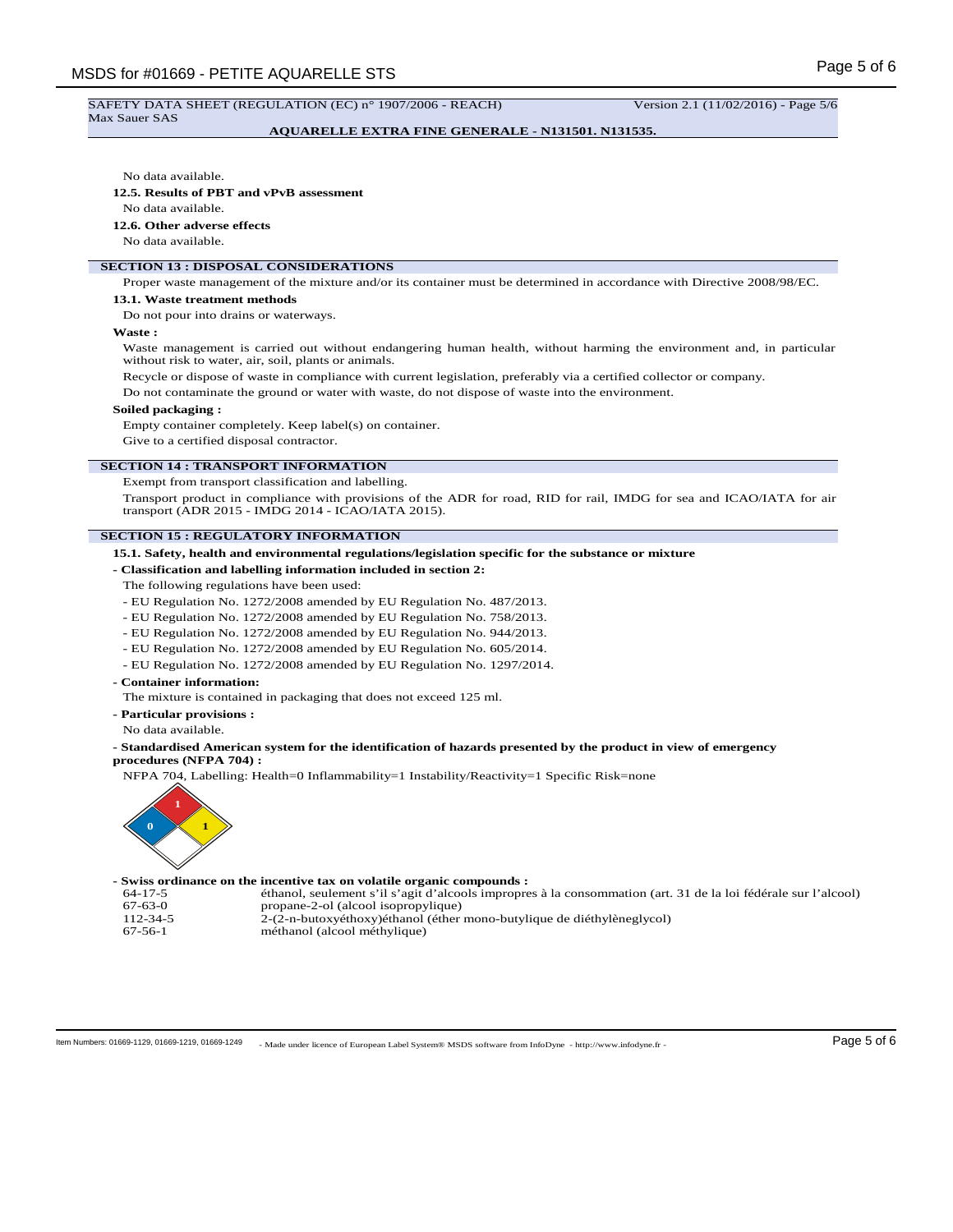### SAFETY DATA SHEET (REGULATION (EC) n° 1907/2006 - REACH) Version 2.1 (11/02/2016) - Page 5/6 Max Sauer SAS

## **AQUARELLE EXTRA FINE GENERALE - N131501. N131535.**

### No data available.

# **12.5. Results of PBT and vPvB assessment**

No data available.

# **12.6. Other adverse effects**

No data available.

# **SECTION 13 : DISPOSAL CONSIDERATIONS**

Proper waste management of the mixture and/or its container must be determined in accordance with Directive 2008/98/EC.

### **13.1. Waste treatment methods**

Do not pour into drains or waterways.

**Waste :**

Waste management is carried out without endangering human health, without harming the environment and, in particular without risk to water, air, soil, plants or animals.

Recycle or dispose of waste in compliance with current legislation, preferably via a certified collector or company.

Do not contaminate the ground or water with waste, do not dispose of waste into the environment.

### **Soiled packaging :**

Empty container completely. Keep label(s) on container.

Give to a certified disposal contractor.

## **SECTION 14 : TRANSPORT INFORMATION**

Exempt from transport classification and labelling.

Transport product in compliance with provisions of the ADR for road, RID for rail, IMDG for sea and ICAO/IATA for air transport (ADR 2015 - IMDG 2014 - ICAO/IATA 2015).

## **SECTION 15 : REGULATORY INFORMATION**

**15.1. Safety, health and environmental regulations/legislation specific for the substance or mixture**

- **Classification and labelling information included in section 2:**
- The following regulations have been used:
- EU Regulation No. 1272/2008 amended by EU Regulation No. 487/2013.
- EU Regulation No. 1272/2008 amended by EU Regulation No. 758/2013.
- EU Regulation No. 1272/2008 amended by EU Regulation No. 944/2013.
- EU Regulation No. 1272/2008 amended by EU Regulation No. 605/2014.
- EU Regulation No. 1272/2008 amended by EU Regulation No. 1297/2014.
- **Container information:**

The mixture is contained in packaging that does not exceed 125 ml.

- **Particular provisions :**
- No data available.

**- Standardised American system for the identification of hazards presented by the product in view of emergency procedures (NFPA 704) :**

NFPA 704, Labelling: Health=0 Inflammability=1 Instability/Reactivity=1 Specific Risk=none



## **- Swiss ordinance on the incentive tax on volatile organic compounds :**

64-17-5 éthanol, seulement s'il s'agit d'alcools impropres à la consommation (art. 31 de la loi fédérale sur l'alcool) 67-63-0 propane-2-ol (alcool isopropylique)<br>112-34-5 2-(2-n-butoxyéthoxy)éthanol (éther 112-34-5 <sup>2</sup>-(2-n-butoxyéthoxy)éthanol (éther mono-butylique de diéthylèneglycol)<br>67-56-1 méthanol (alcool méthylique)

méthanol (alcool méthylique)